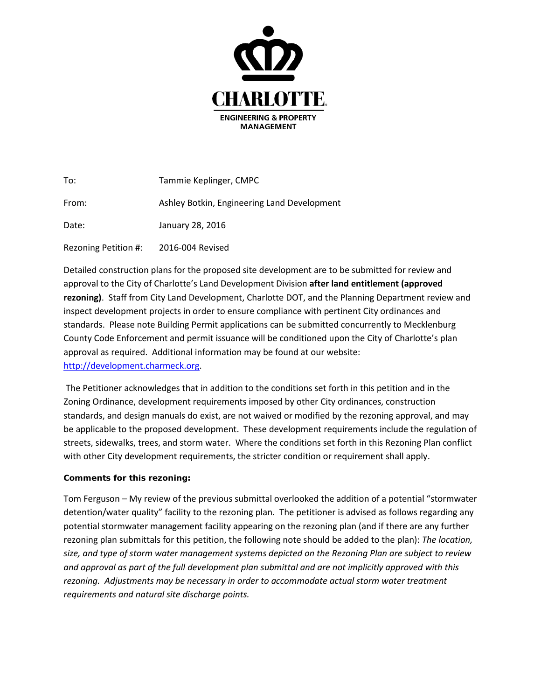

| To:                  | Tammie Keplinger, CMPC                      |
|----------------------|---------------------------------------------|
| From:                | Ashley Botkin, Engineering Land Development |
| Date:                | January 28, 2016                            |
| Rezoning Petition #: | 2016-004 Revised                            |

Detailed construction plans for the proposed site development are to be submitted for review and approval to the City of Charlotte's Land Development Division **after land entitlement (approved rezoning)**. Staff from City Land Development, Charlotte DOT, and the Planning Department review and inspect development projects in order to ensure compliance with pertinent City ordinances and standards. Please note Building Permit applications can be submitted concurrently to Mecklenburg County Code Enforcement and permit issuance will be conditioned upon the City of Charlotte's plan approval as required. Additional information may be found at our website: [http://development.charmeck.org.](http://development.charmeck.org/)

The Petitioner acknowledges that in addition to the conditions set forth in this petition and in the Zoning Ordinance, development requirements imposed by other City ordinances, construction standards, and design manuals do exist, are not waived or modified by the rezoning approval, and may be applicable to the proposed development. These development requirements include the regulation of streets, sidewalks, trees, and storm water. Where the conditions set forth in this Rezoning Plan conflict with other City development requirements, the stricter condition or requirement shall apply.

## **Comments for this rezoning:**

Tom Ferguson – My review of the previous submittal overlooked the addition of a potential "stormwater detention/water quality" facility to the rezoning plan. The petitioner is advised as follows regarding any potential stormwater management facility appearing on the rezoning plan (and if there are any further rezoning plan submittals for this petition, the following note should be added to the plan): *The location, size, and type of storm water management systems depicted on the Rezoning Plan are subject to review and approval as part of the full development plan submittal and are not implicitly approved with this rezoning. Adjustments may be necessary in order to accommodate actual storm water treatment requirements and natural site discharge points.*